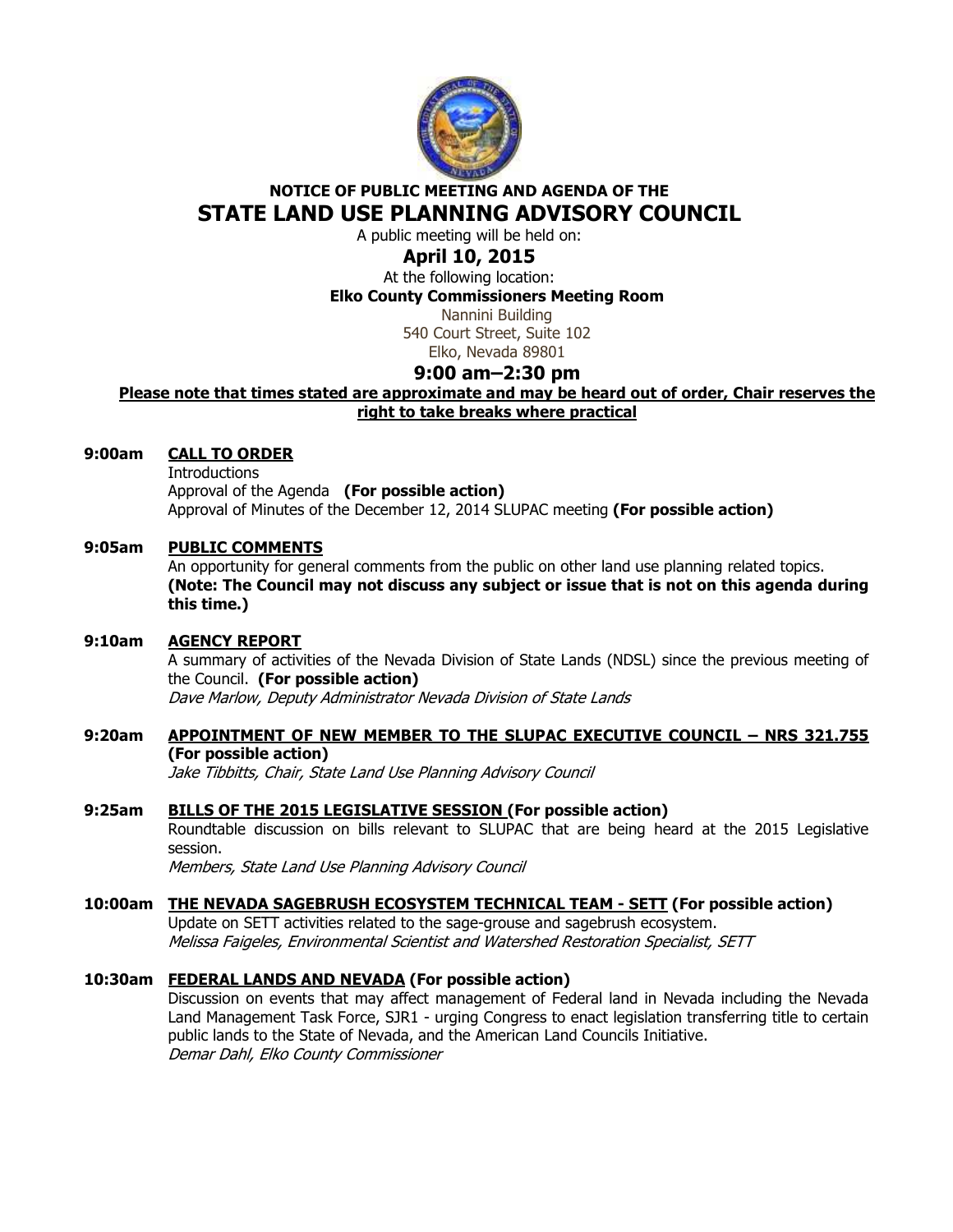

# **NOTICE OF PUBLIC MEETING AND AGENDA OF THE STATE LAND USE PLANNING ADVISORY COUNCIL**

A public meeting will be held on:

# **April 10, 2015**

At the following location: **Elko County Commissioners Meeting Room** 

Nannini Building 540 Court Street, Suite 102 Elko, Nevada 89801

# **9:00 am–2:30 pm**

**Please note that times stated are approximate and may be heard out of order, Chair reserves the right to take breaks where practical** 

# **9:00am CALL TO ORDER**

**Introductions**  Approval of the Agenda **(For possible action)** Approval of Minutes of the December 12, 2014 SLUPAC meeting **(For possible action)** 

### **9:05am PUBLIC COMMENTS**

An opportunity for general comments from the public on other land use planning related topics. **(Note: The Council may not discuss any subject or issue that is not on this agenda during this time.)** 

### **9:10am AGENCY REPORT**

A summary of activities of the Nevada Division of State Lands (NDSL) since the previous meeting of the Council. **(For possible action)** Dave Marlow, Deputy Administrator Nevada Division of State Lands

# **9:20am APPOINTMENT OF NEW MEMBER TO THE SLUPAC EXECUTIVE COUNCIL – NRS 321.755 (For possible action)**

Jake Tibbitts, Chair, State Land Use Planning Advisory Council

### **9:25am BILLS OF THE 2015 LEGISLATIVE SESSION (For possible action)**

Roundtable discussion on bills relevant to SLUPAC that are being heard at the 2015 Legislative session.

Members, State Land Use Planning Advisory Council

# **10:00am THE NEVADA SAGEBRUSH ECOSYSTEM TECHNICAL TEAM - SETT (For possible action)**

 Update on SETT activities related to the sage-grouse and sagebrush ecosystem. Melissa Faigeles, Environmental Scientist and Watershed Restoration Specialist, SETT

# **10:30am FEDERAL LANDS AND NEVADA (For possible action)**

Discussion on events that may affect management of Federal land in Nevada including the Nevada Land Management Task Force, SJR1 - urging Congress to enact legislation transferring title to certain public lands to the State of Nevada, and the American Land Councils Initiative. Demar Dahl, Elko County Commissioner